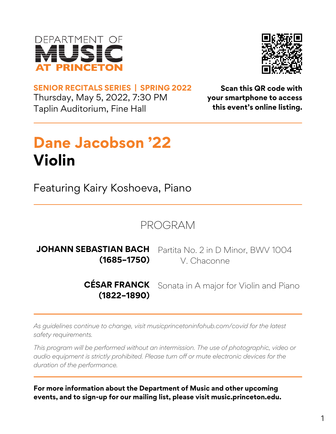



Thursday, May 5, 2022, 7:30 PM Taplin Auditorium, Fine Hall **SENIOR RECITALS SERIES | SPRING 2022 Scan this QR code with**

**your smartphone to access this event's online listing.**

## **Dane Jacobson '22 Violin**

Featuring Kairy Koshoeva, Piano

PROGRAM

Partita No. 2 in D Minor, BWV 1004 V. Chaconne **JOHANN SEBASTIAN BACH (1685–1750)**

> **CÉSAR FRANCK (1822–1890)** Sonata in A major for Violin and Piano

*As guidelines continue to change, visit musicprincetoninfohub.com/covid for the latest safety requirements.*

*This program will be performed without an intermission. The use of photographic, video or audio equipment is strictly prohibited. Please turn off or mute electronic devices for the duration of the performance.*

**For more information about the Department of Music and other upcoming events, and to sign-up for our mailing list, please visit music.princeton.edu.**